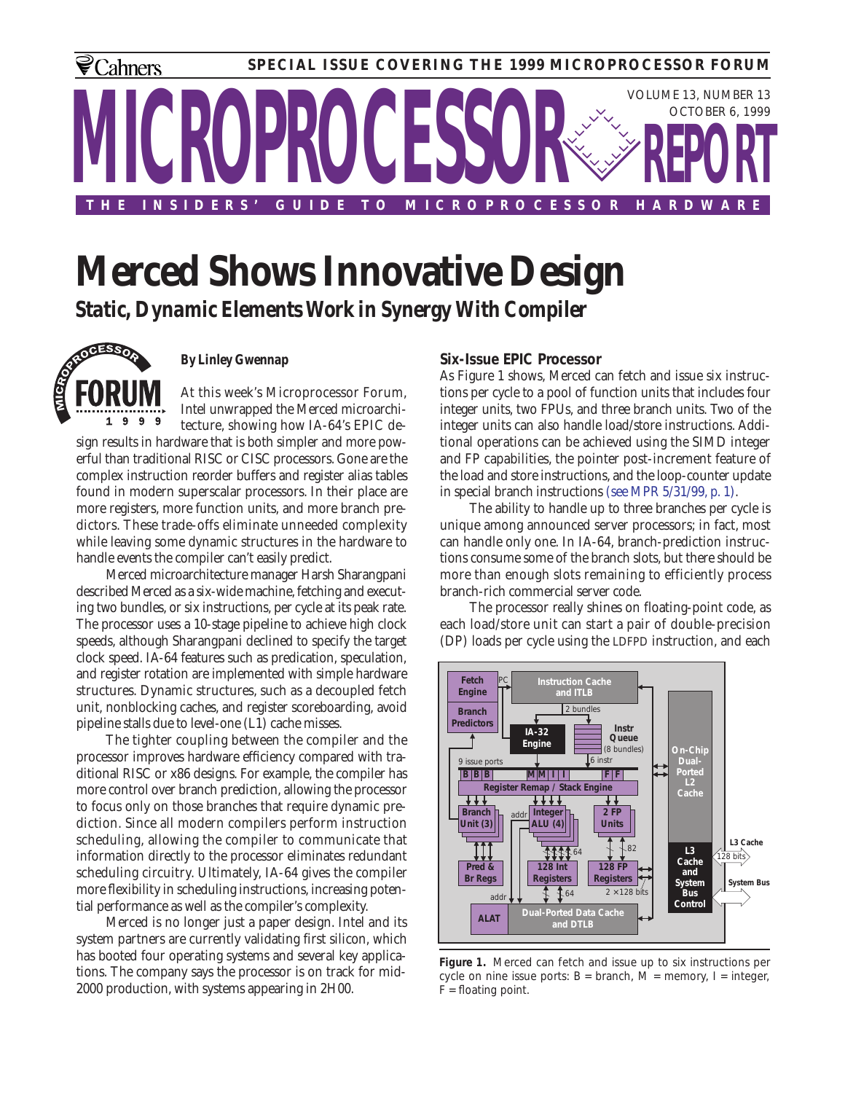

# **Merced Shows Innovative Design** *Static, Dynamic Elements Work in Synergy With Compiler*



## *By Linley Gwennap*

At this week's Microprocessor Forum, Intel unwrapped the Merced microarchi-9 9 9 tecture, showing how IA-64's EPIC design results in hardware that is both simpler and more powerful than traditional RISC or CISC processors. Gone are the complex instruction reorder buffers and register alias tables found in modern superscalar processors. In their place are more registers, more function units, and more branch predictors. These trade-offs eliminate unneeded complexity while leaving some dynamic structures in the hardware to handle events the compiler can't easily predict.

Merced microarchitecture manager Harsh Sharangpani described Merced as a six-wide machine, fetching and executing two bundles, or six instructions, per cycle at its peak rate. The processor uses a 10-stage pipeline to achieve high clock speeds, although Sharangpani declined to specify the target clock speed. IA-64 features such as predication, speculation, and register rotation are implemented with simple hardware structures. Dynamic structures, such as a decoupled fetch unit, nonblocking caches, and register scoreboarding, avoid pipeline stalls due to level-one (L1) cache misses.

The tighter coupling between the compiler and the processor improves hardware efficiency compared with traditional RISC or x86 designs. For example, the compiler has more control over branch prediction, allowing the processor to focus only on those branches that require dynamic prediction. Since all modern compilers perform instruction scheduling, allowing the compiler to communicate that information directly to the processor eliminates redundant scheduling circuitry. Ultimately, IA-64 gives the compiler more flexibility in scheduling instructions, increasing potential performance as well as the compiler's complexity.

Merced is no longer just a paper design. Intel and its system partners are currently validating first silicon, which has booted four operating systems and several key applications. The company says the processor is on track for mid-2000 production, with systems appearing in 2H00.

# **Six-Issue EPIC Processor**

As Figure 1 shows, Merced can fetch and issue six instructions per cycle to a pool of function units that includes four integer units, two FPUs, and three branch units. Two of the integer units can also handle load/store instructions. Additional operations can be achieved using the SIMD integer and FP capabilities, the pointer post-increment feature of the load and store instructions, and the loop-counter update in special branch instructions (see MPR 5/31/99, p. 1).

The ability to handle up to three branches per cycle is unique among announced server processors; in fact, most can handle only one. In IA-64, branch-prediction instructions consume some of the branch slots, but there should be more than enough slots remaining to efficiently process branch-rich commercial server code.

The processor really shines on floating-point code, as each load/store unit can start a pair of double-precision (DP) loads per cycle using the LDFPD instruction, and each



**Figure 1.** Merced can fetch and issue up to six instructions per cycle on nine issue ports:  $B = branch$ ,  $M = memory$ ,  $I = integer$ ,  $F =$  floating point.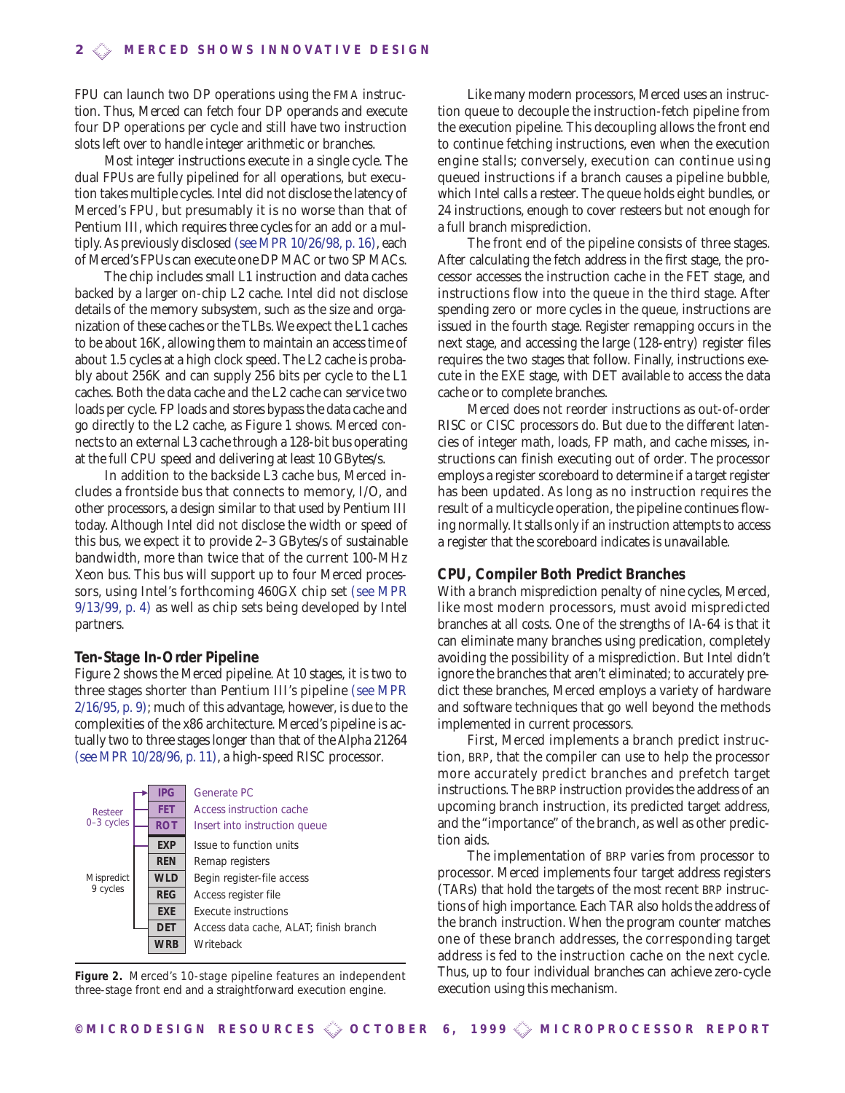FPU can launch two DP operations using the FMA instruction. Thus, Merced can fetch four DP operands and execute four DP operations per cycle and still have two instruction slots left over to handle integer arithmetic or branches.

Most integer instructions execute in a single cycle. The dual FPUs are fully pipelined for all operations, but execution takes multiple cycles. Intel did not disclose the latency of Merced's FPU, but presumably it is no worse than that of Pentium III, which requires three cycles for an add or a multiply. As previously disclosed (see MPR 10/26/98, p. 16), each of Merced's FPUs can execute one DP MAC or two SP MACs.

The chip includes small L1 instruction and data caches backed by a larger on-chip L2 cache. Intel did not disclose details of the memory subsystem, such as the size and organization of these caches or the TLBs.We expect the L1 caches to be about 16K, allowing them to maintain an access time of about 1.5 cycles at a high clock speed. The L2 cache is probably about 256K and can supply 256 bits per cycle to the L1 caches. Both the data cache and the L2 cache can service two loads per cycle. FP loads and stores bypass the data cache and go directly to the L2 cache, as Figure 1 shows. Merced connects to an external L3 cache through a 128-bit bus operating at the full CPU speed and delivering at least 10 GBytes/s.

In addition to the backside L3 cache bus, Merced includes a frontside bus that connects to memory, I/O, and other processors, a design similar to that used by Pentium III today. Although Intel did not disclose the width or speed of this bus, we expect it to provide 2–3 GBytes/s of sustainable bandwidth, more than twice that of the current 100-MHz Xeon bus. This bus will support up to four Merced processors, using Intel's forthcoming 460GX chip set (see MPR 9/13/99, p. 4) as well as chip sets being developed by Intel partners.

#### **Ten-Stage In-Order Pipeline**

Figure 2 shows the Merced pipeline. At 10 stages, it is two to three stages shorter than Pentium III's pipeline (see MPR 2/16/95, p. 9); much of this advantage, however, is due to the complexities of the x86 architecture. Merced's pipeline is actually two to three stages longer than that of the Alpha 21264 (see MPR 10/28/96, p. 11), a high-speed RISC processor.



**Figure 2.** Merced's 10-stage pipeline features an independent three-stage front end and a straightforward execution engine.

Like many modern processors, Merced uses an instruction queue to decouple the instruction-fetch pipeline from the execution pipeline. This decoupling allows the front end to continue fetching instructions, even when the execution engine stalls; conversely, execution can continue using queued instructions if a branch causes a pipeline bubble, which Intel calls a resteer. The queue holds eight bundles, or 24 instructions, enough to cover resteers but not enough for a full branch misprediction.

The front end of the pipeline consists of three stages. After calculating the fetch address in the first stage, the processor accesses the instruction cache in the FET stage, and instructions flow into the queue in the third stage. After spending zero or more cycles in the queue, instructions are issued in the fourth stage. Register remapping occurs in the next stage, and accessing the large (128-entry) register files requires the two stages that follow. Finally, instructions execute in the EXE stage, with DET available to access the data cache or to complete branches.

Merced does not reorder instructions as out-of-order RISC or CISC processors do. But due to the different latencies of integer math, loads, FP math, and cache misses, instructions can finish executing out of order. The processor employs a register scoreboard to determine if a target register has been updated. As long as no instruction requires the result of a multicycle operation, the pipeline continues flowing normally.It stalls only if an instruction attempts to access a register that the scoreboard indicates is unavailable.

## **CPU, Compiler Both Predict Branches**

With a branch misprediction penalty of nine cycles, Merced, like most modern processors, must avoid mispredicted branches at all costs. One of the strengths of IA-64 is that it can eliminate many branches using predication, completely avoiding the possibility of a misprediction. But Intel didn't ignore the branches that aren't eliminated; to accurately predict these branches, Merced employs a variety of hardware and software techniques that go well beyond the methods implemented in current processors.

First, Merced implements a branch predict instruction, BRP, that the compiler can use to help the processor more accurately predict branches and prefetch target instructions. The BRP instruction provides the address of an upcoming branch instruction, its predicted target address, and the "importance" of the branch, as well as other prediction aids.

The implementation of BRP varies from processor to processor. Merced implements four target address registers (TARs) that hold the targets of the most recent BRP instructions of high importance. Each TAR also holds the address of the branch instruction. When the program counter matches one of these branch addresses, the corresponding target address is fed to the instruction cache on the next cycle. Thus, up to four individual branches can achieve zero-cycle execution using this mechanism.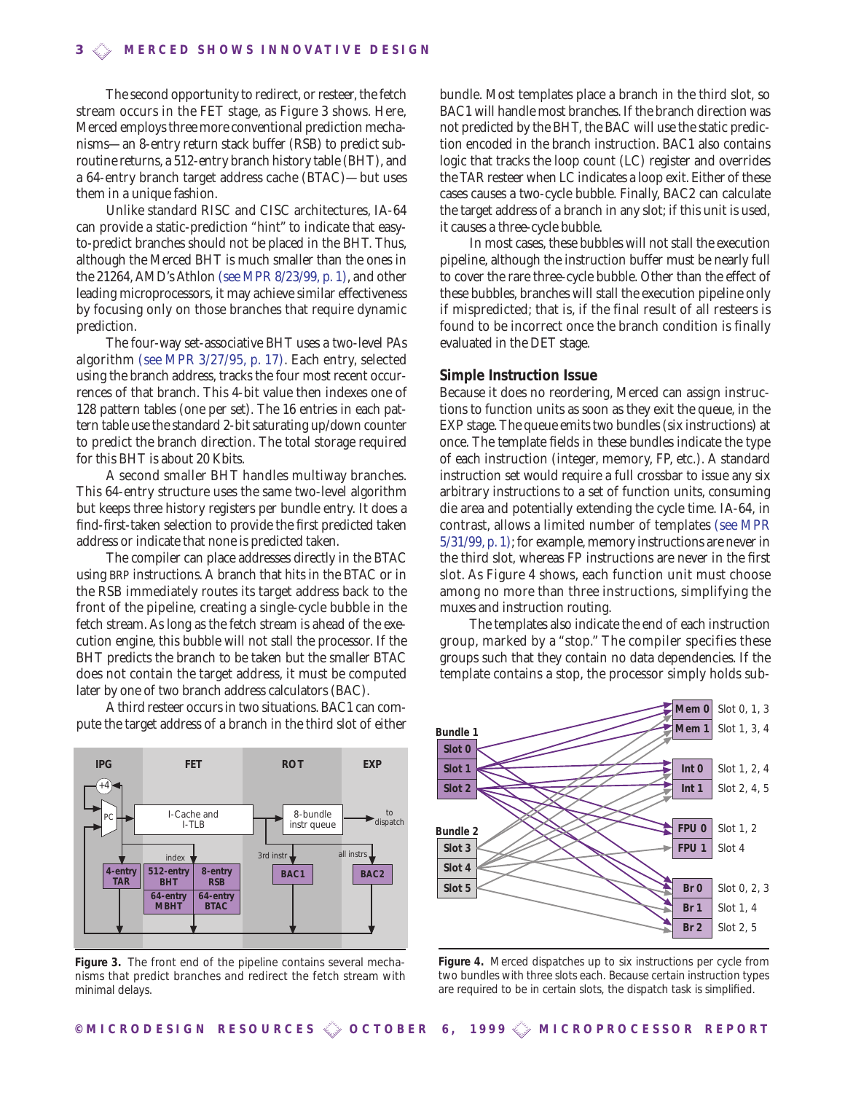The second opportunity to redirect, or resteer, the fetch stream occurs in the FET stage, as Figure 3 shows. Here, Merced employs three more conventional prediction mechanisms—an 8-entry return stack buffer (RSB) to predict subroutine returns, a 512-entry branch history table (BHT), and a 64-entry branch target address cache (BTAC)—but uses them in a unique fashion.

Unlike standard RISC and CISC architectures, IA-64 can provide a static-prediction "hint" to indicate that easyto-predict branches should not be placed in the BHT. Thus, although the Merced BHT is much smaller than the ones in the 21264, AMD's Athlon (see MPR 8/23/99, p. 1), and other leading microprocessors, it may achieve similar effectiveness by focusing only on those branches that require dynamic prediction.

The four-way set-associative BHT uses a two-level PAs algorithm (see MPR 3/27/95, p. 17). Each entry, selected using the branch address, tracks the four most recent occurrences of that branch. This 4-bit value then indexes one of 128 pattern tables (one per set). The 16 entries in each pattern table use the standard 2-bit saturating up/down counter to predict the branch direction. The total storage required for this BHT is about 20 Kbits.

A second smaller BHT handles multiway branches. This 64-entry structure uses the same two-level algorithm but keeps three history registers per bundle entry. It does a find-first-taken selection to provide the first predicted taken address or indicate that none is predicted taken.

The compiler can place addresses directly in the BTAC using BRP instructions. A branch that hits in the BTAC or in the RSB immediately routes its target address back to the front of the pipeline, creating a single-cycle bubble in the fetch stream. As long as the fetch stream is ahead of the execution engine, this bubble will not stall the processor. If the BHT predicts the branch to be taken but the smaller BTAC does not contain the target address, it must be computed later by one of two branch address calculators (BAC).

A third resteer occurs in two situations. BAC1 can compute the target address of a branch in the third slot of either



**Figure 3.** The front end of the pipeline contains several mechanisms that predict branches and redirect the fetch stream with minimal delays.

bundle. Most templates place a branch in the third slot, so BAC1 will handle most branches. If the branch direction was not predicted by the BHT, the BAC will use the static prediction encoded in the branch instruction. BAC1 also contains logic that tracks the loop count (LC) register and overrides the TAR resteer when LC indicates a loop exit. Either of these cases causes a two-cycle bubble. Finally, BAC2 can calculate the target address of a branch in any slot; if this unit is used, it causes a three-cycle bubble.

In most cases, these bubbles will not stall the execution pipeline, although the instruction buffer must be nearly full to cover the rare three-cycle bubble. Other than the effect of these bubbles, branches will stall the execution pipeline only if mispredicted; that is, if the final result of all resteers is found to be incorrect once the branch condition is finally evaluated in the DET stage.

#### **Simple Instruction Issue**

Because it does no reordering, Merced can assign instructions to function units as soon as they exit the queue, in the EXP stage. The queue emits two bundles (six instructions) at once. The template fields in these bundles indicate the type of each instruction (integer, memory, FP, etc.). A standard instruction set would require a full crossbar to issue any six arbitrary instructions to a set of function units, consuming die area and potentially extending the cycle time. IA-64, in contrast, allows a limited number of templates (see MPR 5/31/99, p. 1); for example, memory instructions are never in the third slot, whereas FP instructions are never in the first slot. As Figure 4 shows, each function unit must choose among no more than three instructions, simplifying the muxes and instruction routing.

The templates also indicate the end of each instruction group, marked by a "stop." The compiler specifies these groups such that they contain no data dependencies. If the template contains a stop, the processor simply holds sub-



**Figure 4.** Merced dispatches up to six instructions per cycle from two bundles with three slots each. Because certain instruction types are required to be in certain slots, the dispatch task is simplified.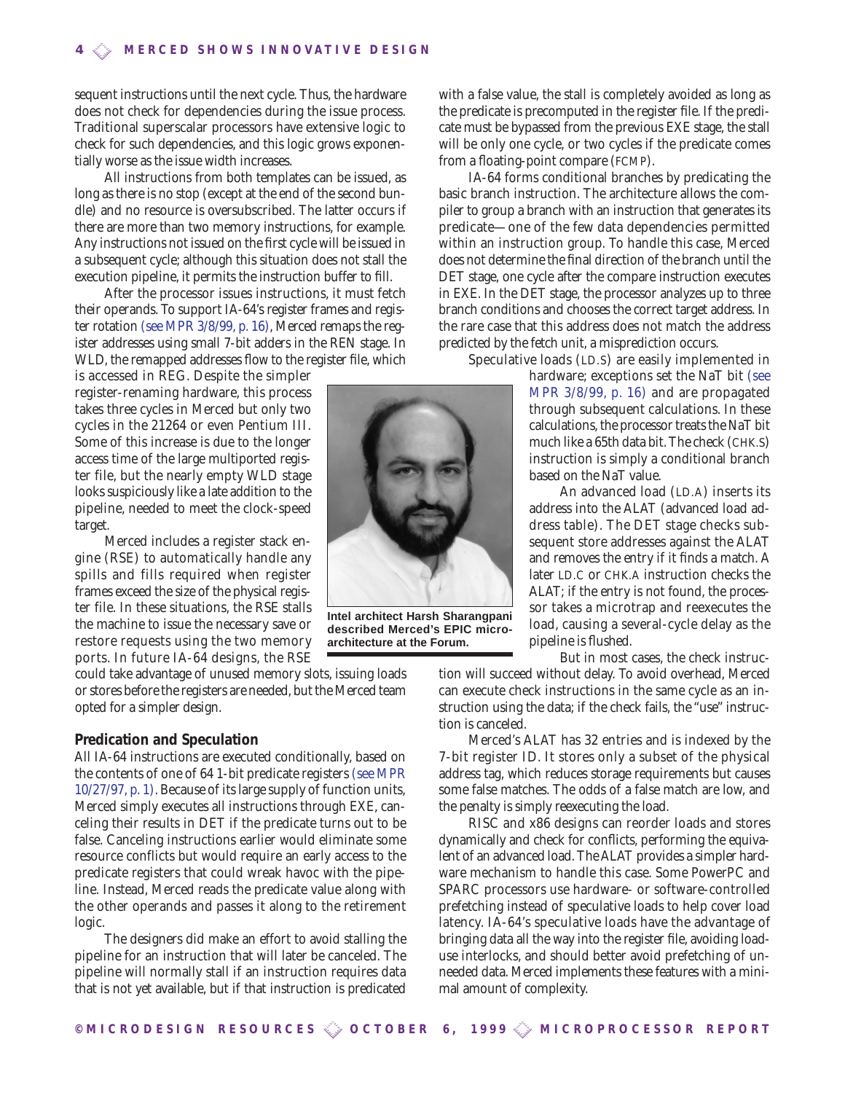sequent instructions until the next cycle. Thus, the hardware does not check for dependencies during the issue process. Traditional superscalar processors have extensive logic to check for such dependencies, and this logic grows exponentially worse as the issue width increases.

All instructions from both templates can be issued, as long as there is no stop (except at the end of the second bundle) and no resource is oversubscribed. The latter occurs if there are more than two memory instructions, for example. Any instructions not issued on the first cycle will be issued in a subsequent cycle; although this situation does not stall the execution pipeline, it permits the instruction buffer to fill.

After the processor issues instructions, it must fetch their operands. To support IA-64's register frames and register rotation (see MPR 3/8/99, p. 16), Merced remaps the register addresses using small 7-bit adders in the REN stage. In WLD, the remapped addresses flow to the register file, which

is accessed in REG. Despite the simpler register-renaming hardware, this process takes three cycles in Merced but only two cycles in the 21264 or even Pentium III. Some of this increase is due to the longer access time of the large multiported register file, but the nearly empty WLD stage looks suspiciously like a late addition to the pipeline, needed to meet the clock-speed target.

Merced includes a register stack engine (RSE) to automatically handle any spills and fills required when register frames exceed the size of the physical register file. In these situations, the RSE stalls the machine to issue the necessary save or restore requests using the two memory ports. In future IA-64 designs, the RSE

could take advantage of unused memory slots, issuing loads or stores before the registers are needed, but the Merced team opted for a simpler design.

# **Predication and Speculation**

All IA-64 instructions are executed conditionally, based on the contents of one of 64 1-bit predicate registers (see MPR 10/27/97, p. 1). Because of its large supply of function units, Merced simply executes all instructions through EXE, canceling their results in DET if the predicate turns out to be false. Canceling instructions earlier would eliminate some resource conflicts but would require an early access to the predicate registers that could wreak havoc with the pipeline. Instead, Merced reads the predicate value along with the other operands and passes it along to the retirement logic.

The designers did make an effort to avoid stalling the pipeline for an instruction that will later be canceled. The pipeline will normally stall if an instruction requires data that is not yet available, but if that instruction is predicated



**Intel architect Harsh Sharangpani described Merced's EPIC microarchitecture at the Forum.**

with a false value, the stall is completely avoided as long as the predicate is precomputed in the register file. If the predicate must be bypassed from the previous EXE stage, the stall will be only one cycle, or two cycles if the predicate comes from a floating-point compare (FCMP).

IA-64 forms conditional branches by predicating the basic branch instruction. The architecture allows the compiler to group a branch with an instruction that generates its predicate—one of the few data dependencies permitted within an instruction group. To handle this case, Merced does not determine the final direction of the branch until the DET stage, one cycle after the compare instruction executes in EXE. In the DET stage, the processor analyzes up to three branch conditions and chooses the correct target address. In the rare case that this address does not match the address predicted by the fetch unit, a misprediction occurs.

Speculative loads (LD.S) are easily implemented in

hardware; exceptions set the NaT bit (see MPR 3/8/99, p. 16) and are propagated through subsequent calculations. In these calculations, the processor treats the NaT bit much like a 65th data bit. The check (CHK.S) instruction is simply a conditional branch based on the NaT value.

An advanced load (LD.A) inserts its address into the ALAT (advanced load address table). The DET stage checks subsequent store addresses against the ALAT and removes the entry if it finds a match. A later LD.C or CHK.A instruction checks the ALAT; if the entry is not found, the processor takes a microtrap and reexecutes the load, causing a several-cycle delay as the pipeline is flushed.

But in most cases, the check instruc-

tion will succeed without delay. To avoid overhead, Merced can execute check instructions in the same cycle as an instruction using the data; if the check fails, the "use" instruction is canceled.

Merced's ALAT has 32 entries and is indexed by the 7-bit register ID. It stores only a subset of the physical address tag, which reduces storage requirements but causes some false matches. The odds of a false match are low, and the penalty is simply reexecuting the load.

RISC and x86 designs can reorder loads and stores dynamically and check for conflicts, performing the equivalent of an advanced load. The ALAT provides a simpler hardware mechanism to handle this case. Some PowerPC and SPARC processors use hardware- or software-controlled prefetching instead of speculative loads to help cover load latency. IA-64's speculative loads have the advantage of bringing data all the way into the register file, avoiding loaduse interlocks, and should better avoid prefetching of unneeded data. Merced implements these features with a minimal amount of complexity.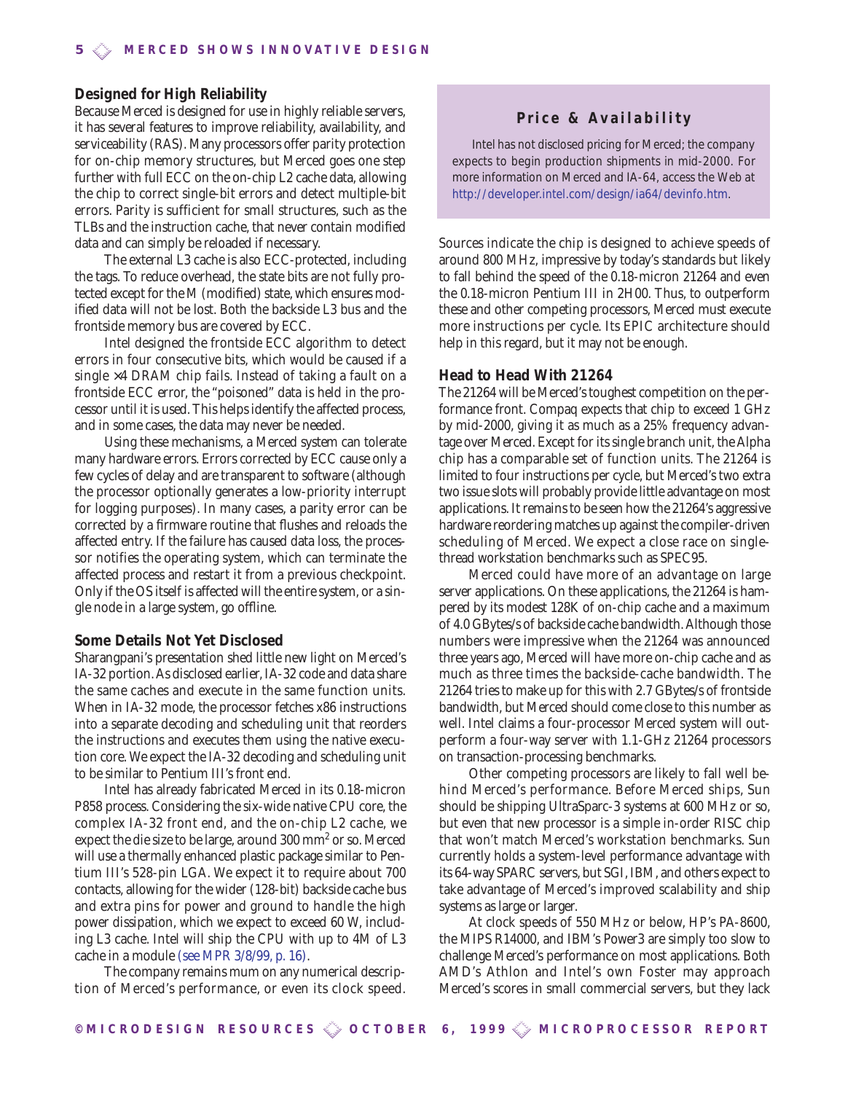## **Designed for High Reliability**

Because Merced is designed for use in highly reliable servers, it has several features to improve reliability, availability, and serviceability (RAS). Many processors offer parity protection for on-chip memory structures, but Merced goes one step further with full ECC on the on-chip L2 cache data, allowing the chip to correct single-bit errors and detect multiple-bit errors. Parity is sufficient for small structures, such as the TLBs and the instruction cache, that never contain modified data and can simply be reloaded if necessary.

The external L3 cache is also ECC-protected, including the tags. To reduce overhead, the state bits are not fully protected except for the M (modified) state, which ensures modified data will not be lost. Both the backside L3 bus and the frontside memory bus are covered by ECC.

Intel designed the frontside ECC algorithm to detect errors in four consecutive bits, which would be caused if a single  $\times$ 4 DRAM chip fails. Instead of taking a fault on a frontside ECC error, the "poisoned" data is held in the processor until it is used. This helps identify the affected process, and in some cases, the data may never be needed.

Using these mechanisms, a Merced system can tolerate many hardware errors. Errors corrected by ECC cause only a few cycles of delay and are transparent to software (although the processor optionally generates a low-priority interrupt for logging purposes). In many cases, a parity error can be corrected by a firmware routine that flushes and reloads the affected entry. If the failure has caused data loss, the processor notifies the operating system, which can terminate the affected process and restart it from a previous checkpoint. Only if the OS itself is affected will the entire system, or a single node in a large system, go offline.

#### **Some Details Not Yet Disclosed**

Sharangpani's presentation shed little new light on Merced's IA-32 portion.As disclosed earlier,IA-32 code and data share the same caches and execute in the same function units. When in IA-32 mode, the processor fetches x86 instructions into a separate decoding and scheduling unit that reorders the instructions and executes them using the native execution core. We expect the IA-32 decoding and scheduling unit to be similar to Pentium III's front end.

Intel has already fabricated Merced in its 0.18-micron P858 process. Considering the six-wide native CPU core, the complex IA-32 front end, and the on-chip L2 cache, we expect the die size to be large, around 300 mm<sup>2</sup> or so. Merced will use a thermally enhanced plastic package similar to Pentium III's 528-pin LGA. We expect it to require about 700 contacts, allowing for the wider (128-bit) backside cache bus and extra pins for power and ground to handle the high power dissipation, which we expect to exceed 60 W, including L3 cache. Intel will ship the CPU with up to 4M of L3 cache in a module (see MPR 3/8/99, p. 16).

The company remains mum on any numerical description of Merced's performance, or even its clock speed.

# **Price & Availability**

Intel has not disclosed pricing for Merced; the company expects to begin production shipments in mid-2000. For more information on Merced and IA-64, access the Web at *[http://developer.intel.com/design/ia64/devinfo.htm.](http://developer.intel.com/design/ia64/devinfo.htm)*

Sources indicate the chip is designed to achieve speeds of around 800 MHz, impressive by today's standards but likely to fall behind the speed of the 0.18-micron 21264 and even the 0.18-micron Pentium III in 2H00. Thus, to outperform these and other competing processors, Merced must execute more instructions per cycle. Its EPIC architecture should help in this regard, but it may not be enough.

## **Head to Head With 21264**

The 21264 will be Merced's toughest competition on the performance front. Compaq expects that chip to exceed 1 GHz by mid-2000, giving it as much as a 25% frequency advantage over Merced. Except for its single branch unit, the Alpha chip has a comparable set of function units. The 21264 is limited to four instructions per cycle, but Merced's two extra two issue slots will probably provide little advantage on most applications.It remains to be seen how the 21264's aggressive hardware reordering matches up against the compiler-driven scheduling of Merced. We expect a close race on singlethread workstation benchmarks such as SPEC95.

Merced could have more of an advantage on large server applications. On these applications, the 21264 is hampered by its modest 128K of on-chip cache and a maximum of 4.0 GBytes/s of backside cache bandwidth.Although those numbers were impressive when the 21264 was announced three years ago, Merced will have more on-chip cache and as much as three times the backside-cache bandwidth. The 21264 tries to make up for this with 2.7 GBytes/s of frontside bandwidth, but Merced should come close to this number as well. Intel claims a four-processor Merced system will outperform a four-way server with 1.1-GHz 21264 processors on transaction-processing benchmarks.

Other competing processors are likely to fall well behind Merced's performance. Before Merced ships, Sun should be shipping UltraSparc-3 systems at 600 MHz or so, but even that new processor is a simple in-order RISC chip that won't match Merced's workstation benchmarks. Sun currently holds a system-level performance advantage with its 64-way SPARC servers, but SGI, IBM, and others expect to take advantage of Merced's improved scalability and ship systems as large or larger.

At clock speeds of 550 MHz or below, HP's PA-8600, the MIPS R14000, and IBM's Power3 are simply too slow to challenge Merced's performance on most applications. Both AMD's Athlon and Intel's own Foster may approach Merced's scores in small commercial servers, but they lack